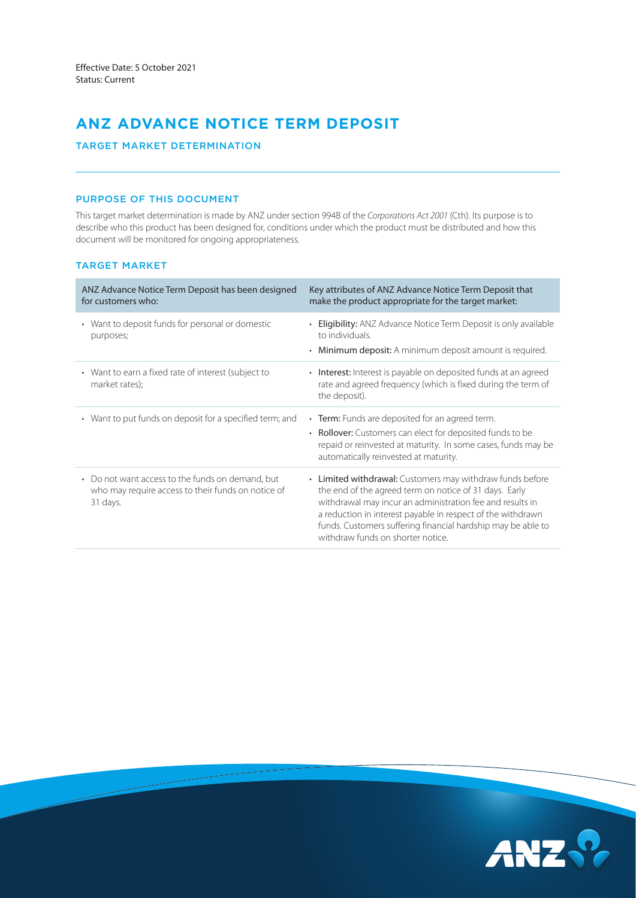# **ANZ ADVANCE NOTICE TERM DEPOSIT**

TARGET MARKET DETERMINATION

## PURPOSE OF THIS DOCUMENT

This target market determination is made by ANZ under section 994B of the *Corporations Act 2001* (Cth). Its purpose is to describe who this product has been designed for, conditions under which the product must be distributed and how this document will be monitored for ongoing appropriateness.

## TARGET MARKET

| ANZ Advance Notice Term Deposit has been designed<br>for customers who:                                            | Key attributes of ANZ Advance Notice Term Deposit that<br>make the product appropriate for the target market:                                                                                                                                                                                                                                        |
|--------------------------------------------------------------------------------------------------------------------|------------------------------------------------------------------------------------------------------------------------------------------------------------------------------------------------------------------------------------------------------------------------------------------------------------------------------------------------------|
| • Want to deposit funds for personal or domestic<br>purposes;                                                      | <b>Eligibility:</b> ANZ Advance Notice Term Deposit is only available<br>to individuals.<br>Minimum deposit: A minimum deposit amount is required.                                                                                                                                                                                                   |
| • Want to earn a fixed rate of interest (subject to<br>market rates);                                              | • Interest: Interest is payable on deposited funds at an agreed<br>rate and agreed frequency (which is fixed during the term of<br>the deposit).                                                                                                                                                                                                     |
| • Want to put funds on deposit for a specified term; and                                                           | • Term: Funds are deposited for an agreed term.<br>• Rollover: Customers can elect for deposited funds to be<br>repaid or reinvested at maturity. In some cases, funds may be<br>automatically reinvested at maturity.                                                                                                                               |
| • Do not want access to the funds on demand, but<br>who may require access to their funds on notice of<br>31 days. | • Limited withdrawal: Customers may withdraw funds before<br>the end of the agreed term on notice of 31 days. Early<br>withdrawal may incur an administration fee and results in<br>a reduction in interest payable in respect of the withdrawn<br>funds. Customers suffering financial hardship may be able to<br>withdraw funds on shorter notice. |

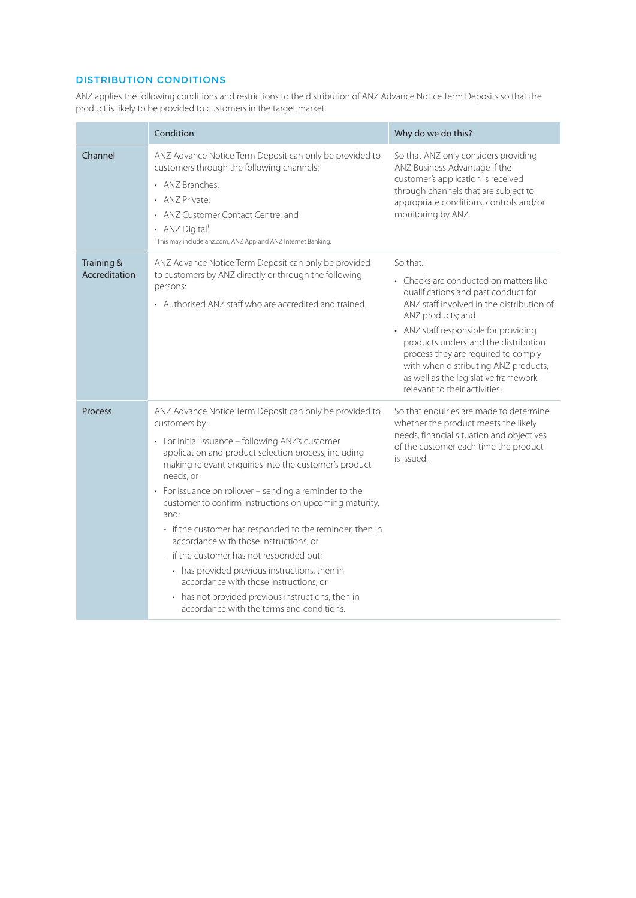## DISTRIBUTION CONDITIONS

ANZ applies the following conditions and restrictions to the distribution of ANZ Advance Notice Term Deposits so that the product is likely to be provided to customers in the target market.

|                             | Condition                                                                                                                                                                                                                                                                                                                                                                                                                                                                                                                                                                                                                                                                                                                              | Why do we do this?                                                                                                                                                                                                                                                                                                                                                                                   |
|-----------------------------|----------------------------------------------------------------------------------------------------------------------------------------------------------------------------------------------------------------------------------------------------------------------------------------------------------------------------------------------------------------------------------------------------------------------------------------------------------------------------------------------------------------------------------------------------------------------------------------------------------------------------------------------------------------------------------------------------------------------------------------|------------------------------------------------------------------------------------------------------------------------------------------------------------------------------------------------------------------------------------------------------------------------------------------------------------------------------------------------------------------------------------------------------|
| Channel                     | ANZ Advance Notice Term Deposit can only be provided to<br>customers through the following channels:<br>• ANZ Branches;<br>• ANZ Private:<br>• ANZ Customer Contact Centre; and<br>• ANZ Digital <sup>1</sup> .<br><sup>1</sup> This may include anz.com, ANZ App and ANZ Internet Banking.                                                                                                                                                                                                                                                                                                                                                                                                                                            | So that ANZ only considers providing<br>ANZ Business Advantage if the<br>customer's application is received<br>through channels that are subject to<br>appropriate conditions, controls and/or<br>monitoring by ANZ.                                                                                                                                                                                 |
| Training &<br>Accreditation | ANZ Advance Notice Term Deposit can only be provided<br>to customers by ANZ directly or through the following<br>persons:<br>• Authorised ANZ staff who are accredited and trained.                                                                                                                                                                                                                                                                                                                                                                                                                                                                                                                                                    | So that:<br>• Checks are conducted on matters like<br>qualifications and past conduct for<br>ANZ staff involved in the distribution of<br>ANZ products; and<br>• ANZ staff responsible for providing<br>products understand the distribution<br>process they are required to comply<br>with when distributing ANZ products,<br>as well as the legislative framework<br>relevant to their activities. |
| <b>Process</b>              | ANZ Advance Notice Term Deposit can only be provided to<br>customers by:<br>• For initial issuance - following ANZ's customer<br>application and product selection process, including<br>making relevant enquiries into the customer's product<br>needs: or<br>• For issuance on rollover - sending a reminder to the<br>customer to confirm instructions on upcoming maturity,<br>and:<br>- if the customer has responded to the reminder, then in<br>accordance with those instructions; or<br>- if the customer has not responded but:<br>• has provided previous instructions, then in<br>accordance with those instructions: or<br>• has not provided previous instructions, then in<br>accordance with the terms and conditions. | So that enquiries are made to determine<br>whether the product meets the likely<br>needs, financial situation and objectives<br>of the customer each time the product<br>is issued.                                                                                                                                                                                                                  |